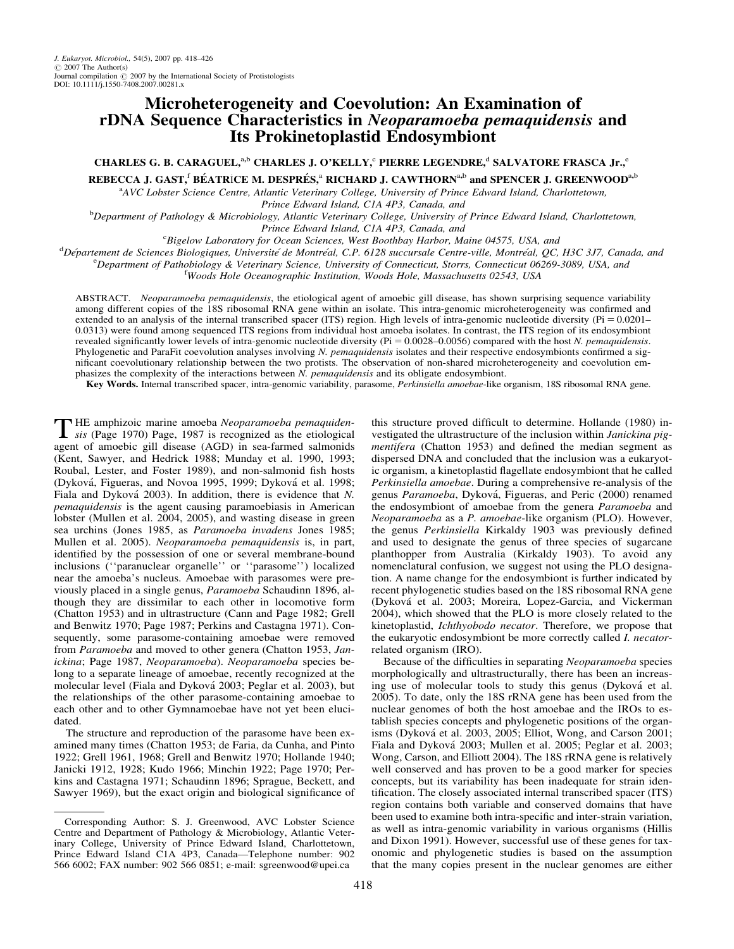# Microheterogeneity and Coevolution: An Examination of rDNA Sequence Characteristics in Neoparamoeba pemaquidensis and Its Prokinetoplastid Endosymbiont

CHARLES G. B. CARAGUEL,<sup>a,b</sup> CHARLES J. O'KELLY,<sup>c</sup> PIERRE LEGENDRE,<sup>d</sup> SALVATORE FRASCA Jr.,<sup>e</sup> REBECCA J. GAST,<sup>f</sup> BÉATRICE M. DESPRÉS,ª RICHARD J. CAWTHORNª,b and SPENCER J. GREENWOOD<sup>a,b</sup>

<sup>a</sup>AVC Lobster Science Centre, Atlantic Veterinary College, University of Prince Edward Island, Charlottetown,

Prince Edward Island, C1A 4P3, Canada, and<br>Department of Pathology & Microbiology, Atlantic Veterinary College, University of Prince Edward Island, Charlottetown,

Prince Edward Island, C1A 4P3, Canada, and<br><sup>C</sup>Bigelow Laboratory for Ocean Sciences, West Boothbay Harbor, Maine 04575, USA, and

Bigelow Laboratory for Ocean Sciences, West Boothbay Harbor, Maine 04575, USA, and<br><sup>d</sup>Département de Sciences Biologiques, Université de Montréal, C.P. 6128 succursale Centre ville, Montréal, OC Département de Sciences Biologiques, Université de Montréal, C.P. 6128 succursale Centre-ville, Montréal, QC, H3C 3J7, Canada, and<br>EDepartment of Pathobiology & Vateringry Science, University of Connecticut, Storrs, Connec

<sup>e</sup>Department of Pathobiology & Veterinary Science, University of Connecticut, Storrs, Connecticut 06269-3089, USA, and

<sup>f</sup>Woods Hole Oceanographic Institution, Woods Hole, Massachusetts 02543, USA

ABSTRACT. Neoparamoeba pemaquidensis, the etiological agent of amoebic gill disease, has shown surprising sequence variability among different copies of the 18S ribosomal RNA gene within an isolate. This intra-genomic microheterogeneity was confirmed and extended to an analysis of the internal transcribed spacer (ITS) region. High levels of intra-genomic nucleotide diversity ( $Pi = 0.0201-$ 0.0313) were found among sequenced ITS regions from individual host amoeba isolates. In contrast, the ITS region of its endosymbiont revealed significantly lower levels of intra-genomic nucleotide diversity (Pi = 0.0028–0.0056) compared with the host N. pemaquidensis. Phylogenetic and ParaFit coevolution analyses involving N. pemaquidensis isolates and their respective endosymbionts confirmed a significant coevolutionary relationship between the two protists. The observation of non-shared microheterogeneity and coevolution emphasizes the complexity of the interactions between  $N$ . *pemaquidensis* and its obligate endosymbiont.

Key Words. Internal transcribed spacer, intra-genomic variability, parasome, Perkinsiella amoebae-like organism, 18S ribosomal RNA gene.

THE amphizoic marine amoeba Neoparamoeba pemaquiden-<br>sis (Page 1970) Page, 1987 is recognized as the etiological agent of amoebic gill disease (AGD) in sea-farmed salmonids (Kent, Sawyer, and Hedrick 1988; Munday et al. 1990, 1993; Roubal, Lester, and Foster 1989), and non-salmonid fish hosts (Dyková, Figueras, and Novoa 1995, 1999; Dyková et al. 1998; Fiala and Dyková 2003). In addition, there is evidence that N. pemaquidensis is the agent causing paramoebiasis in American lobster (Mullen et al. 2004, 2005), and wasting disease in green sea urchins (Jones 1985, as Paramoeba invadens Jones 1985; Mullen et al. 2005). Neoparamoeba pemaquidensis is, in part, identified by the possession of one or several membrane-bound inclusions (''paranuclear organelle'' or ''parasome'') localized near the amoeba's nucleus. Amoebae with parasomes were previously placed in a single genus, Paramoeba Schaudinn 1896, although they are dissimilar to each other in locomotive form (Chatton 1953) and in ultrastructure (Cann and Page 1982; Grell and Benwitz 1970; Page 1987; Perkins and Castagna 1971). Consequently, some parasome-containing amoebae were removed from Paramoeba and moved to other genera (Chatton 1953, Janickina; Page 1987, Neoparamoeba). Neoparamoeba species belong to a separate lineage of amoebae, recently recognized at the molecular level (Fiala and Dyková 2003; Peglar et al. 2003), but the relationships of the other parasome-containing amoebae to each other and to other Gymnamoebae have not yet been elucidated.

The structure and reproduction of the parasome have been examined many times (Chatton 1953; de Faria, da Cunha, and Pinto 1922; Grell 1961, 1968; Grell and Benwitz 1970; Hollande 1940; Janicki 1912, 1928; Kudo 1966; Minchin 1922; Page 1970; Perkins and Castagna 1971; Schaudinn 1896; Sprague, Beckett, and Sawyer 1969), but the exact origin and biological significance of this structure proved difficult to determine. Hollande (1980) investigated the ultrastructure of the inclusion within Janickina pigmentifera (Chatton 1953) and defined the median segment as dispersed DNA and concluded that the inclusion was a eukaryotic organism, a kinetoplastid flagellate endosymbiont that he called Perkinsiella amoebae. During a comprehensive re-analysis of the genus Paramoeba, Dyková, Figueras, and Peric (2000) renamed the endosymbiont of amoebae from the genera Paramoeba and Neoparamoeba as a P. amoebae-like organism (PLO). However, the genus Perkinsiella Kirkaldy 1903 was previously defined and used to designate the genus of three species of sugarcane planthopper from Australia (Kirkaldy 1903). To avoid any nomenclatural confusion, we suggest not using the PLO designation. A name change for the endosymbiont is further indicated by recent phylogenetic studies based on the 18S ribosomal RNA gene (Dykova´ et al. 2003; Moreira, Lopez-Garcia, and Vickerman 2004), which showed that the PLO is more closely related to the kinetoplastid, Ichthyobodo necator. Therefore, we propose that the eukaryotic endosymbiont be more correctly called *I. necator*related organism (IRO).

Because of the difficulties in separating Neoparamoeba species morphologically and ultrastructurally, there has been an increasing use of molecular tools to study this genus (Dyková et al. 2005). To date, only the 18S rRNA gene has been used from the nuclear genomes of both the host amoebae and the IROs to establish species concepts and phylogenetic positions of the organisms (Dyková et al. 2003, 2005; Elliot, Wong, and Carson 2001; Fiala and Dyková 2003; Mullen et al. 2005; Peglar et al. 2003; Wong, Carson, and Elliott 2004). The 18S rRNA gene is relatively well conserved and has proven to be a good marker for species concepts, but its variability has been inadequate for strain identification. The closely associated internal transcribed spacer (ITS) region contains both variable and conserved domains that have been used to examine both intra-specific and inter-strain variation, as well as intra-genomic variability in various organisms (Hillis and Dixon 1991). However, successful use of these genes for taxonomic and phylogenetic studies is based on the assumption that the many copies present in the nuclear genomes are either

Corresponding Author: S. J. Greenwood, AVC Lobster Science Centre and Department of Pathology & Microbiology, Atlantic Veterinary College, University of Prince Edward Island, Charlottetown, Prince Edward Island C1A 4P3, Canada—Telephone number: 902 566 6002; FAX number: 902 566 0851; e-mail: sgreenwood@upei.ca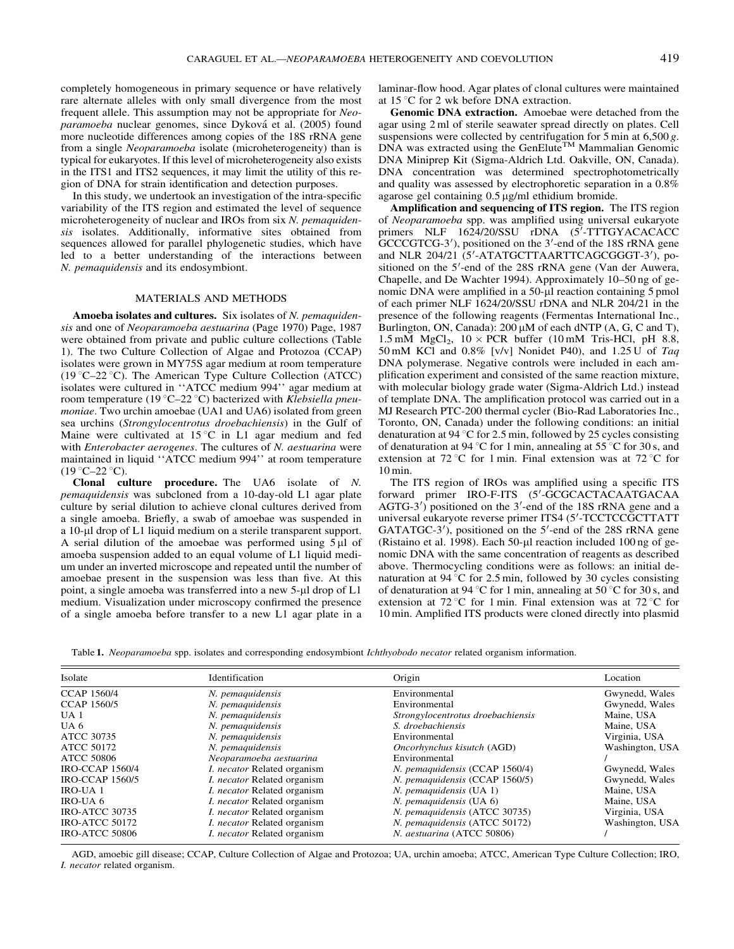completely homogeneous in primary sequence or have relatively rare alternate alleles with only small divergence from the most frequent allele. This assumption may not be appropriate for Neoparamoeba nuclear genomes, since Dyková et al. (2005) found more nucleotide differences among copies of the 18S rRNA gene from a single Neoparamoeba isolate (microheterogeneity) than is typical for eukaryotes. If this level of microheterogeneity also exists in the ITS1 and ITS2 sequences, it may limit the utility of this region of DNA for strain identification and detection purposes.

In this study, we undertook an investigation of the intra-specific variability of the ITS region and estimated the level of sequence microheterogeneity of nuclear and IROs from six N. *pemaquiden*sis isolates. Additionally, informative sites obtained from sequences allowed for parallel phylogenetic studies, which have led to a better understanding of the interactions between N. pemaquidensis and its endosymbiont.

#### MATERIALS AND METHODS

Amoeba isolates and cultures. Six isolates of N. pemaquidensis and one of Neoparamoeba aestuarina (Page 1970) Page, 1987 were obtained from private and public culture collections (Table 1). The two Culture Collection of Algae and Protozoa (CCAP) isolates were grown in MY75S agar medium at room temperature (19 °C–22 °C). The American Type Culture Collection (ATCC) isolates were cultured in ''ATCC medium 994'' agar medium at room temperature (19 °C–22 °C) bacterized with Klebsiella pneumoniae. Two urchin amoebae (UA1 and UA6) isolated from green sea urchins (Strongylocentrotus droebachiensis) in the Gulf of Maine were cultivated at  $15^{\circ}\text{C}$  in L1 agar medium and fed with Enterobacter aerogenes. The cultures of N. aestuarina were maintained in liquid ''ATCC medium 994'' at room temperature  $(19 \degree C - 22 \degree C)$ .

Clonal culture procedure. The UA6 isolate of N. pemaquidensis was subcloned from a 10-day-old L1 agar plate culture by serial dilution to achieve clonal cultures derived from a single amoeba. Briefly, a swab of amoebae was suspended in a 10-µl drop of L1 liquid medium on a sterile transparent support. A serial dilution of the amoebae was performed using  $5 \mu l$  of amoeba suspension added to an equal volume of L1 liquid medium under an inverted microscope and repeated until the number of amoebae present in the suspension was less than five. At this point, a single amoeba was transferred into a new 5-µl drop of L1 medium. Visualization under microscopy confirmed the presence of a single amoeba before transfer to a new L1 agar plate in a

laminar-flow hood. Agar plates of clonal cultures were maintained at  $15^{\circ}$ C for 2 wk before DNA extraction.

Genomic DNA extraction. Amoebae were detached from the agar using 2 ml of sterile seawater spread directly on plates. Cell suspensions were collected by centrifugation for  $5$  min at  $6,500$  g. DNA was extracted using the GenElute<sup>TM</sup> Mammalian Genomic DNA Miniprep Kit (Sigma-Aldrich Ltd. Oakville, ON, Canada). DNA concentration was determined spectrophotometrically and quality was assessed by electrophoretic separation in a 0.8% agarose gel containing  $0.5 \mu$ g/ml ethidium bromide.

Amplification and sequencing of ITS region. The ITS region of Neoparamoeba spp. was amplified using universal eukaryote primers NLF 1624/20/SSU rDNA (5'-TTTGYACACACC GCCCGTCG-3'), positioned on the 3'-end of the 18S rRNA gene and NLR 204/21 (5'-ATATGCTTAARTTCAGCGGGT-3'), positioned on the 5'-end of the 28S rRNA gene (Van der Auwera, Chapelle, and De Wachter 1994). Approximately 10–50 ng of genomic DNA were amplified in a 50-µl reaction containing 5 pmol of each primer NLF 1624/20/SSU rDNA and NLR 204/21 in the presence of the following reagents (Fermentas International Inc., Burlington, ON, Canada):  $200 \mu M$  of each dNTP (A, G, C and T), 1.5 mM  $MgCl<sub>2</sub>$ , 10  $\times$  PCR buffer (10 mM Tris-HCl, pH 8.8, 50 mM KCl and 0.8% [v/v] Nonidet P40), and 1.25 U of Taq DNA polymerase. Negative controls were included in each amplification experiment and consisted of the same reaction mixture, with molecular biology grade water (Sigma-Aldrich Ltd.) instead of template DNA. The amplification protocol was carried out in a MJ Research PTC-200 thermal cycler (Bio-Rad Laboratories Inc., Toronto, ON, Canada) under the following conditions: an initial denaturation at 94  $\degree$ C for 2.5 min, followed by 25 cycles consisting of denaturation at 94 °C for 1 min, annealing at 55 °C for 30 s, and extension at  $72^{\circ}$ C for 1 min. Final extension was at  $72^{\circ}$ C for 10 min.

The ITS region of IROs was amplified using a specific ITS forward primer IRO-F-ITS (5'-GCGCACTACAATGACAA  $AGTG-3'$ ) positioned on the 3'-end of the 18S rRNA gene and a universal eukaryote reverse primer ITS4 (5'-TCCTCCGCTTATT GATATGC-3'), positioned on the 5'-end of the 28S rRNA gene (Ristaino et al. 1998). Each  $50$ -µl reaction included 100 ng of genomic DNA with the same concentration of reagents as described above. Thermocycling conditions were as follows: an initial denaturation at  $94^{\circ}$ C for 2.5 min, followed by 30 cycles consisting of denaturation at 94 °C for 1 min, annealing at 50 °C for 30 s, and extension at 72 °C for 1 min. Final extension was at 72 °C for 10 min. Amplified ITS products were cloned directly into plasmid

Table 1. Neoparamoeba spp. isolates and corresponding endosymbiont *Ichthyobodo necator* related organism information.

| Isolate                | Identification                     | Origin                            | Location        |
|------------------------|------------------------------------|-----------------------------------|-----------------|
| <b>CCAP 1560/4</b>     | N. pemaquidensis                   | Environmental                     | Gwynedd, Wales  |
| <b>CCAP 1560/5</b>     | N. pemaquidensis                   | Environmental                     | Gwynedd, Wales  |
| UA <sub>1</sub>        | N. pemaguidensis                   | Strongylocentrotus droebachiensis | Maine, USA      |
| UA 6                   | N. pemaquidensis                   | S. droebachiensis                 | Maine. USA      |
| ATCC 30735             | N. pemaquidensis                   | Environmental                     | Virginia, USA   |
| ATCC 50172             | N. pemaguidensis                   | Oncorhynchus kisutch (AGD)        | Washington, USA |
| ATCC 50806             | Neoparamoeba aestuarina            | Environmental                     |                 |
| <b>IRO-CCAP 1560/4</b> | <i>I. necator</i> Related organism | N. pemaguidensis (CCAP 1560/4)    | Gwynedd, Wales  |
| <b>IRO-CCAP 1560/5</b> | <i>I. necator</i> Related organism | N. pemaguidensis (CCAP 1560/5)    | Gwynedd, Wales  |
| IRO-UA 1               | <i>I. necator</i> Related organism | $N.$ pemaguidensis (UA 1)         | Maine. USA      |
| IRO-UA 6               | <i>I. necator</i> Related organism | $N.$ pemaquidensis (UA $6$ )      | Maine. USA      |
| <b>IRO-ATCC 30735</b>  | <i>I. necator</i> Related organism | N. pemaguidensis (ATCC 30735)     | Virginia, USA   |
| <b>IRO-ATCC 50172</b>  | <i>I. necator</i> Related organism | N. pemaguidensis (ATCC 50172)     | Washington, USA |
| IRO-ATCC 50806         | <i>I. necator</i> Related organism | N. aestuarina (ATCC 50806)        |                 |

AGD, amoebic gill disease; CCAP, Culture Collection of Algae and Protozoa; UA, urchin amoeba; ATCC, American Type Culture Collection; IRO, I. necator related organism.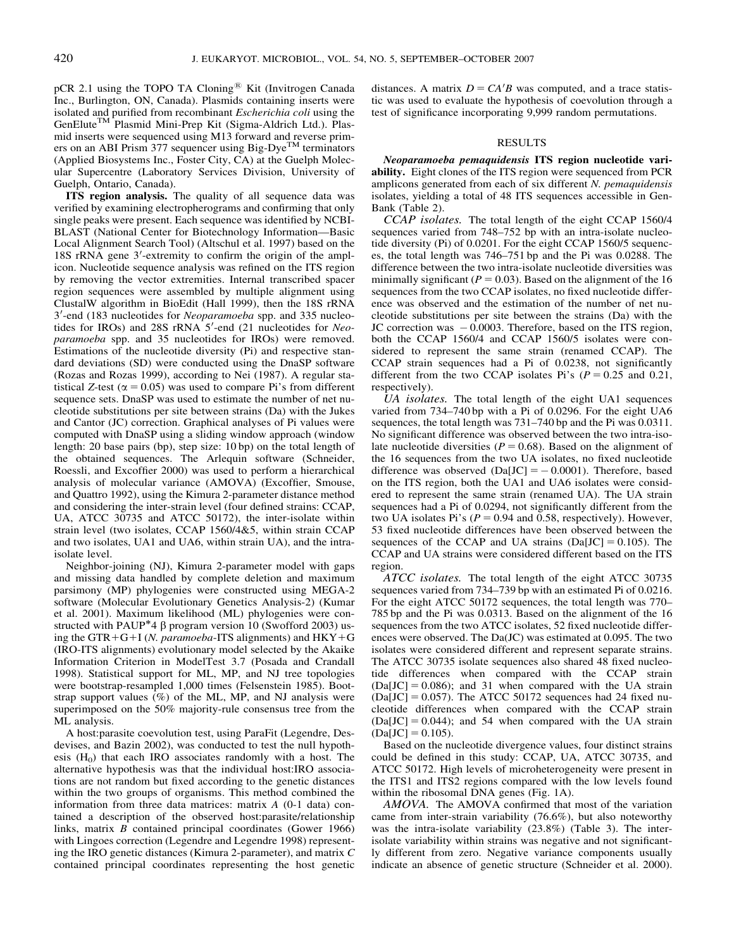pCR 2.1 using the TOPO TA Cloning<sup>®</sup> Kit (Invitrogen Canada Inc., Burlington, ON, Canada). Plasmids containing inserts were isolated and purified from recombinant Escherichia coli using the GenElute<sup>TM</sup> Plasmid Mini-Prep Kit (Sigma-Aldrich Ltd.). Plasmid inserts were sequenced using M13 forward and reverse primers on an ABI Prism 377 sequencer using Big-Dye<sup>TM</sup> terminators (Applied Biosystems Inc., Foster City, CA) at the Guelph Molecular Supercentre (Laboratory Services Division, University of Guelph, Ontario, Canada).

ITS region analysis. The quality of all sequence data was verified by examining electropherograms and confirming that only single peaks were present. Each sequence was identified by NCBI-BLAST (National Center for Biotechnology Information—Basic Local Alignment Search Tool) (Altschul et al. 1997) based on the 18S rRNA gene 3'-extremity to confirm the origin of the amplicon. Nucleotide sequence analysis was refined on the ITS region by removing the vector extremities. Internal transcribed spacer region sequences were assembled by multiple alignment using ClustalW algorithm in BioEdit (Hall 1999), then the 18S rRNA 3'-end (183 nucleotides for Neoparamoeba spp. and 335 nucleotides for IROs) and 28S rRNA 5'-end (21 nucleotides for Neoparamoeba spp. and 35 nucleotides for IROs) were removed. Estimations of the nucleotide diversity (Pi) and respective standard deviations (SD) were conducted using the DnaSP software (Rozas and Rozas 1999), according to Nei (1987). A regular statistical Z-test ( $\alpha$  = 0.05) was used to compare Pi's from different sequence sets. DnaSP was used to estimate the number of net nucleotide substitutions per site between strains (Da) with the Jukes and Cantor (JC) correction. Graphical analyses of Pi values were computed with DnaSP using a sliding window approach (window length: 20 base pairs (bp), step size: 10 bp) on the total length of the obtained sequences. The Arlequin software (Schneider, Roessli, and Excoffier 2000) was used to perform a hierarchical analysis of molecular variance (AMOVA) (Excoffier, Smouse, and Quattro 1992), using the Kimura 2-parameter distance method and considering the inter-strain level (four defined strains: CCAP, UA, ATCC 30735 and ATCC 50172), the inter-isolate within strain level (two isolates, CCAP 1560/4&5, within strain CCAP and two isolates, UA1 and UA6, within strain UA), and the intraisolate level.

Neighbor-joining (NJ), Kimura 2-parameter model with gaps and missing data handled by complete deletion and maximum parsimony (MP) phylogenies were constructed using MEGA-2 software (Molecular Evolutionary Genetics Analysis-2) (Kumar et al. 2001). Maximum likelihood (ML) phylogenies were constructed with PAUP<sup>\*</sup>4  $\beta$  program version 10 (Swofford 2003) using the GTR+G+I (N. paramoeba-ITS alignments) and  $HKY+G$ (IRO-ITS alignments) evolutionary model selected by the Akaike Information Criterion in ModelTest 3.7 (Posada and Crandall 1998). Statistical support for ML, MP, and NJ tree topologies were bootstrap-resampled 1,000 times (Felsenstein 1985). Bootstrap support values (%) of the ML, MP, and NJ analysis were superimposed on the 50% majority-rule consensus tree from the ML analysis.

A host:parasite coevolution test, using ParaFit (Legendre, Desdevises, and Bazin 2002), was conducted to test the null hypothesis  $(H<sub>0</sub>)$  that each IRO associates randomly with a host. The alternative hypothesis was that the individual host:IRO associations are not random but fixed according to the genetic distances within the two groups of organisms. This method combined the information from three data matrices: matrix A (0-1 data) contained a description of the observed host:parasite/relationship links, matrix  $\vec{B}$  contained principal coordinates (Gower 1966) with Lingoes correction (Legendre and Legendre 1998) representing the IRO genetic distances (Kimura 2-parameter), and matrix C contained principal coordinates representing the host genetic

distances. A matrix  $D = CA'B$  was computed, and a trace statistic was used to evaluate the hypothesis of coevolution through a test of significance incorporating 9,999 random permutations.

## RESULTS

Neoparamoeba pemaquidensis ITS region nucleotide variability. Eight clones of the ITS region were sequenced from PCR amplicons generated from each of six different N. pemaquidensis isolates, yielding a total of 48 ITS sequences accessible in Gen-Bank (Table 2).

CCAP isolates. The total length of the eight CCAP 1560/4 sequences varied from 748–752 bp with an intra-isolate nucleotide diversity (Pi) of 0.0201. For the eight CCAP 1560/5 sequences, the total length was 746–751 bp and the Pi was 0.0288. The difference between the two intra-isolate nucleotide diversities was minimally significant ( $P = 0.03$ ). Based on the alignment of the 16 sequences from the two CCAP isolates, no fixed nucleotide difference was observed and the estimation of the number of net nucleotide substitutions per site between the strains (Da) with the JC correction was  $-0.0003$ . Therefore, based on the ITS region, both the CCAP 1560/4 and CCAP 1560/5 isolates were considered to represent the same strain (renamed CCAP). The CCAP strain sequences had a Pi of 0.0238, not significantly different from the two CCAP isolates Pi's  $(P = 0.25$  and 0.21, respectively).

UA isolates. The total length of the eight UA1 sequences varied from 734–740 bp with a Pi of 0.0296. For the eight UA6 sequences, the total length was 731–740 bp and the Pi was 0.0311. No significant difference was observed between the two intra-isolate nucleotide diversities ( $P = 0.68$ ). Based on the alignment of the 16 sequences from the two UA isolates, no fixed nucleotide difference was observed  $(Da[JC] = -0.0001)$ . Therefore, based on the ITS region, both the UA1 and UA6 isolates were considered to represent the same strain (renamed UA). The UA strain sequences had a Pi of 0.0294, not significantly different from the two UA isolates Pi's  $(P = 0.94$  and 0.58, respectively). However, 53 fixed nucleotide differences have been observed between the sequences of the CCAP and UA strains  $(Da[JC] = 0.105)$ . The CCAP and UA strains were considered different based on the ITS region.

ATCC isolates. The total length of the eight ATCC 30735 sequences varied from 734–739 bp with an estimated Pi of 0.0216. For the eight ATCC 50172 sequences, the total length was 770– 785 bp and the Pi was 0.0313. Based on the alignment of the 16 sequences from the two ATCC isolates, 52 fixed nucleotide differences were observed. The Da(JC) was estimated at 0.095. The two isolates were considered different and represent separate strains. The ATCC 30735 isolate sequences also shared 48 fixed nucleotide differences when compared with the CCAP strain  $(Da[JC] = 0.086)$ ; and 31 when compared with the UA strain  $(Da[JC] = 0.057)$ . The ATCC 50172 sequences had 24 fixed nucleotide differences when compared with the CCAP strain  $(Da[JC] = 0.044)$ ; and 54 when compared with the UA strain  $(Da[JC] = 0.105).$ 

Based on the nucleotide divergence values, four distinct strains could be defined in this study: CCAP, UA, ATCC 30735, and ATCC 50172. High levels of microheterogeneity were present in the ITS1 and ITS2 regions compared with the low levels found within the ribosomal DNA genes (Fig. 1A).

AMOVA. The AMOVA confirmed that most of the variation came from inter-strain variability (76.6%), but also noteworthy was the intra-isolate variability (23.8%) (Table 3). The interisolate variability within strains was negative and not significantly different from zero. Negative variance components usually indicate an absence of genetic structure (Schneider et al. 2000).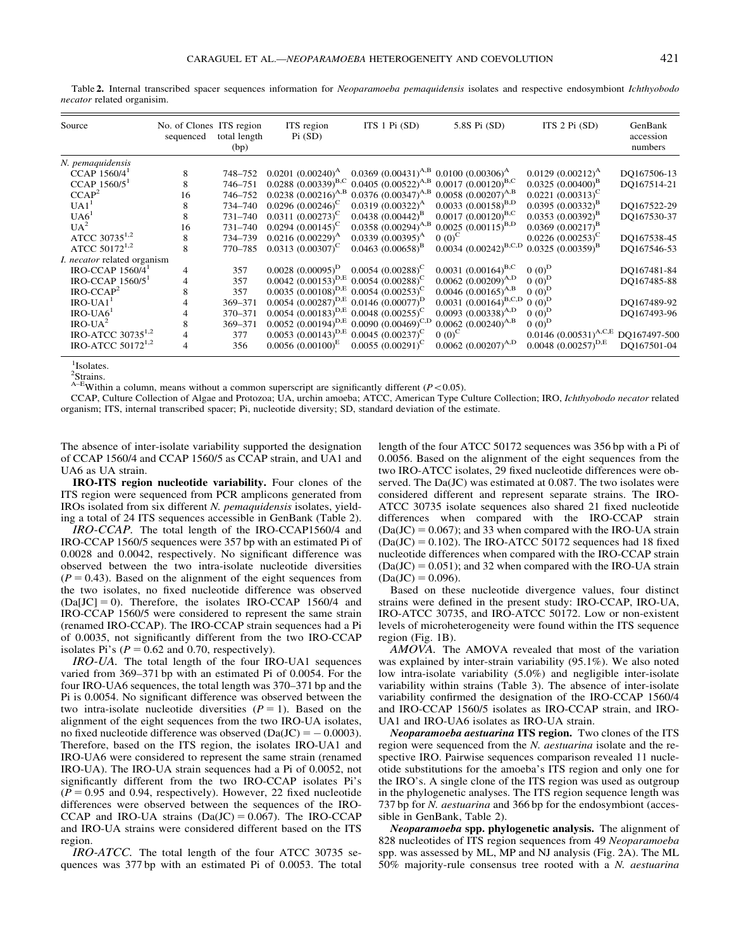| Source                             | No. of Clones ITS region<br>sequenced | total length<br>(bp) | ITS region<br>Pi(SD)                                            | ITS $1$ Pi $(SD)$                                   | 5.8S Pi (SD)                                                                                    | ITS 2 Pi (SD)                | GenBank<br>accession<br>numbers |
|------------------------------------|---------------------------------------|----------------------|-----------------------------------------------------------------|-----------------------------------------------------|-------------------------------------------------------------------------------------------------|------------------------------|---------------------------------|
| N. pemaquidensis                   |                                       |                      |                                                                 |                                                     |                                                                                                 |                              |                                 |
| CCAP 1560/4 <sup>1</sup>           | 8                                     | 748-752              | $0.0201 (0.00240)^{A}$                                          | $0.0369$ $(0.00431)^{A,B}$ 0.0100 $(0.00306)^{A}$   |                                                                                                 | $0.0129 (0.00212)^{A}$       | DO167506-13                     |
| CCAP 1560/5 <sup>1</sup>           | 8                                     | 746-751              |                                                                 |                                                     | 0.0288 (0.00339) <sup>B,C</sup> 0.0405 (0.00522) <sup>A,B</sup> 0.0017 (0.00120) <sup>B,C</sup> | $0.0325(0.00400)^B$          | DQ167514-21                     |
| CCAP <sup>2</sup>                  | 16                                    | 746-752              | $0.0238~(0.00216)^{A,B}$                                        | $0.0376~(0.00347)^{A,B}$                            | $0.0058$ $(0.00207)^{A,B}$                                                                      | $0.0221 (0.00313)^{\rm C}$   |                                 |
| UA1 <sup>1</sup>                   | 8                                     | 734-740              | $0.0296~(0.00246)^C$                                            | $0.0319(0.00322)^{A}$                               | $0.0033$ $(0.00158)^{B,D}$                                                                      | $0.0395(0.00332)^{B}$        | DQ167522-29                     |
| UA6 <sup>1</sup>                   | 8                                     | 731-740              | $0.0311 (0.00273)^{\rm C}$                                      | $0.0438~(0.00442)^{B}$                              | $0.0017~(0.00120)^{B,C}$                                                                        | $(0.0353)(0.00392)^{B}$      | DQ167530-37                     |
| $UA^2$                             | 16                                    | 731-740              | $0.0294~(0.00145)^C$                                            | $0.0358$ $(0.00294)^{A,B}$                          | $0.0025~(0.00115)^{B,D}$                                                                        | $0.0369$ $(0.00217)^{B}$     |                                 |
| ATCC 30735 <sup>1,2</sup>          | 8                                     | 734-739              | $0.0216 (0.00229)^{A}$                                          | $0.0339(0.00395)^{A}$                               | $0(0)^C$                                                                                        | $0.0226~(0.00253)^C$         | DO167538-45                     |
| ATCC 50172 <sup>1,2</sup>          | 8                                     | 770-785              | $0.0313(0.00307)^C$                                             | $0.0463(0.00658)^{B}$                               | $0.0034~(0.00242)^{B,C,D}$                                                                      | $0.0325(0.00359)^{\text{B}}$ | DO167546-53                     |
| <i>I. necator</i> related organism |                                       |                      |                                                                 |                                                     |                                                                                                 |                              |                                 |
| IRO-CCAP $1560/4$ <sup>1</sup>     | 4                                     | 357                  | $0.0028~(0.00095)^D$                                            | $0.0054(0.00288)^{\rm C}$                           | $0.0031(0.00164)^{B,C}$                                                                         | $0(0)^D$                     | DO167481-84                     |
| IRO-CCAP $1560/5$ <sup>1</sup>     | 4                                     | 357                  | $0.0042$ $(0.00153)^{D,E}$ 0.0054 $(0.00288)^C$                 |                                                     | $0.0062$ $(0.00209)^{A,D}$                                                                      | $0(0)^D$                     | DO167485-88                     |
| $IRO-CCAP2$                        | 8                                     | 357                  | $0.0035$ (0.00108) <sup>D,E</sup> 0.0054 (0.00253) <sup>C</sup> |                                                     | $0.0046~(0.00165)^{A,B}$                                                                        | $0(0)^D$                     |                                 |
| $IRO-UA11$                         |                                       | 369-371              | $0.0054$ (0.00287) <sup>D,E</sup> 0.0146 (0.00077) <sup>D</sup> |                                                     | $0.0031 (0.00164)^{B,C,D}$                                                                      | $0(0)^D$                     | DO167489-92                     |
| $IRO-UA61$                         | 4                                     | 370-371              | $0.0054$ (0.00183) <sup>D,E</sup> 0.0048 (0.00255) <sup>C</sup> |                                                     | $0.0093$ $(0.00338)^{A,D}$                                                                      | $0(0)^D$                     | DO167493-96                     |
| $IRO-UA2$                          | 8                                     | 369-371              |                                                                 | $0.0052$ $(0.00194)^{D,E}$ 0.0090 $(0.00469)^{C,D}$ | $0.0062$ $(0.00240)^{A,B}$                                                                      | $0(0)^D$                     |                                 |
| IRO-ATCC 30735 $1,2$               | 4                                     | 377                  | $0.0053$ $(0.00143)^{D,E}$ 0.0045 $(0.00237)^C$                 |                                                     | $0(0)^{C}$                                                                                      | $0.0146~(0.00531)^{A,C,E}$   | DO167497-500                    |
| IRO-ATCC 50172 <sup>1,2</sup>      | 4                                     | 356                  | $0.0056$ $(0.00100)^E$                                          | $0.0055(0.00291)^C$                                 | $0.0062$ $(0.00207)^{A,D}$                                                                      | $0.0048~(0.00257)^{D,E}$     | DO167501-04                     |
|                                    |                                       |                      |                                                                 |                                                     |                                                                                                 |                              |                                 |

1 Isolates.

necator related organisim.

<sup>2</sup>Strains.

 $A-E$ Within a column, means without a common superscript are significantly different ( $P < 0.05$ ).

CCAP, Culture Collection of Algae and Protozoa; UA, urchin amoeba; ATCC, American Type Culture Collection; IRO, Ichthyobodo necator related organism; ITS, internal transcribed spacer; Pi, nucleotide diversity; SD, standard deviation of the estimate.

The absence of inter-isolate variability supported the designation of CCAP 1560/4 and CCAP 1560/5 as CCAP strain, and UA1 and UA6 as UA strain.

IRO-ITS region nucleotide variability. Four clones of the ITS region were sequenced from PCR amplicons generated from IROs isolated from six different N. pemaquidensis isolates, yielding a total of 24 ITS sequences accessible in GenBank (Table 2).

IRO-CCAP. The total length of the IRO-CCAP1560/4 and IRO-CCAP 1560/5 sequences were 357 bp with an estimated Pi of 0.0028 and 0.0042, respectively. No significant difference was observed between the two intra-isolate nucleotide diversities  $(P = 0.43)$ . Based on the alignment of the eight sequences from the two isolates, no fixed nucleotide difference was observed  $(Da[JC] = 0)$ . Therefore, the isolates IRO-CCAP 1560/4 and IRO-CCAP 1560/5 were considered to represent the same strain (renamed IRO-CCAP). The IRO-CCAP strain sequences had a Pi of 0.0035, not significantly different from the two IRO-CCAP isolates Pi's  $(P = 0.62$  and 0.70, respectively).

IRO-UA. The total length of the four IRO-UA1 sequences varied from 369–371 bp with an estimated Pi of 0.0054. For the four IRO-UA6 sequences, the total length was 370–371 bp and the Pi is 0.0054. No significant difference was observed between the two intra-isolate nucleotide diversities  $(P = 1)$ . Based on the alignment of the eight sequences from the two IRO-UA isolates, no fixed nucleotide difference was observed  $(Da(JC) = -0.0003)$ . Therefore, based on the ITS region, the isolates IRO-UA1 and IRO-UA6 were considered to represent the same strain (renamed IRO-UA). The IRO-UA strain sequences had a Pi of 0.0052, not significantly different from the two IRO-CCAP isolates Pi's  $(P = 0.95$  and 0.94, respectively). However, 22 fixed nucleotide differences were observed between the sequences of the IRO-CCAP and IRO-UA strains  $(Da(JC) = 0.067)$ . The IRO-CCAP and IRO-UA strains were considered different based on the ITS region.

IRO-ATCC. The total length of the four ATCC 30735 sequences was 377 bp with an estimated Pi of 0.0053. The total length of the four ATCC 50172 sequences was 356 bp with a Pi of 0.0056. Based on the alignment of the eight sequences from the two IRO-ATCC isolates, 29 fixed nucleotide differences were observed. The Da(JC) was estimated at 0.087. The two isolates were considered different and represent separate strains. The IRO-ATCC 30735 isolate sequences also shared 21 fixed nucleotide differences when compared with the IRO-CCAP strain  $(Da(JC) = 0.067)$ ; and 33 when compared with the IRO-UA strain  $(Da(JC) = 0.102)$ . The IRO-ATCC 50172 sequences had 18 fixed nucleotide differences when compared with the IRO-CCAP strain  $(Da(JC) = 0.051)$ ; and 32 when compared with the IRO-UA strain  $(Da(JC) = 0.096).$ 

Based on these nucleotide divergence values, four distinct strains were defined in the present study: IRO-CCAP, IRO-UA, IRO-ATCC 30735, and IRO-ATCC 50172. Low or non-existent levels of microheterogeneity were found within the ITS sequence region (Fig. 1B).

AMOVA. The AMOVA revealed that most of the variation was explained by inter-strain variability (95.1%). We also noted low intra-isolate variability (5.0%) and negligible inter-isolate variability within strains (Table 3). The absence of inter-isolate variability confirmed the designation of the IRO-CCAP 1560/4 and IRO-CCAP 1560/5 isolates as IRO-CCAP strain, and IRO-UA1 and IRO-UA6 isolates as IRO-UA strain.

Neoparamoeba aestuarina ITS region. Two clones of the ITS region were sequenced from the *N. aestuarina* isolate and the respective IRO. Pairwise sequences comparison revealed 11 nucleotide substitutions for the amoeba's ITS region and only one for the IRO's. A single clone of the ITS region was used as outgroup in the phylogenetic analyses. The ITS region sequence length was 737 bp for *N. aestuarina* and 366 bp for the endosymbiont (accessible in GenBank, Table 2).

Neoparamoeba spp. phylogenetic analysis. The alignment of 828 nucleotides of ITS region sequences from 49 Neoparamoeba spp. was assessed by ML, MP and NJ analysis (Fig. 2A). The ML 50% majority-rule consensus tree rooted with a N. aestuarina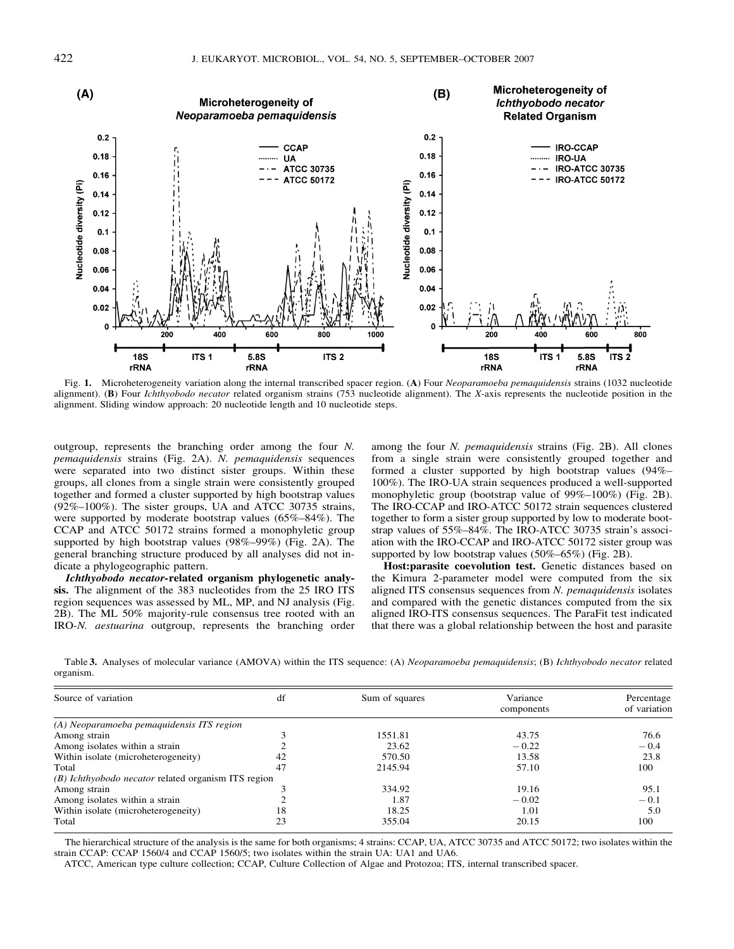

Fig. 1. Microheterogeneity variation along the internal transcribed spacer region. (A) Four Neoparamoeba pemaquidensis strains (1032 nucleotide alignment). (B) Four *Ichthyobodo necator* related organism strains (753 nucleotide alignment). The X-axis represents the nucleotide position in the alignment. Sliding window approach: 20 nucleotide length and 10 nucleotide steps.

outgroup, represents the branching order among the four N. pemaquidensis strains (Fig. 2A). N. pemaquidensis sequences were separated into two distinct sister groups. Within these groups, all clones from a single strain were consistently grouped together and formed a cluster supported by high bootstrap values (92%–100%). The sister groups, UA and ATCC 30735 strains, were supported by moderate bootstrap values (65%–84%). The CCAP and ATCC 50172 strains formed a monophyletic group supported by high bootstrap values (98%–99%) (Fig. 2A). The general branching structure produced by all analyses did not indicate a phylogeographic pattern.

Ichthyobodo necator-related organism phylogenetic analysis. The alignment of the 383 nucleotides from the 25 IRO ITS region sequences was assessed by ML, MP, and NJ analysis (Fig. 2B). The ML 50% majority-rule consensus tree rooted with an IRO-N. aestuarina outgroup, represents the branching order among the four N. pemaquidensis strains (Fig. 2B). All clones from a single strain were consistently grouped together and formed a cluster supported by high bootstrap values (94%– 100%). The IRO-UA strain sequences produced a well-supported monophyletic group (bootstrap value of 99%–100%) (Fig. 2B). The IRO-CCAP and IRO-ATCC 50172 strain sequences clustered together to form a sister group supported by low to moderate bootstrap values of 55%–84%. The IRO-ATCC 30735 strain's association with the IRO-CCAP and IRO-ATCC 50172 sister group was supported by low bootstrap values (50%–65%) (Fig. 2B).

Host:parasite coevolution test. Genetic distances based on the Kimura 2-parameter model were computed from the six aligned ITS consensus sequences from N. pemaquidensis isolates and compared with the genetic distances computed from the six aligned IRO-ITS consensus sequences. The ParaFit test indicated that there was a global relationship between the host and parasite

Table 3. Analyses of molecular variance (AMOVA) within the ITS sequence: (A) Neoparamoeba pemaquidensis; (B) Ichthyobodo necator related organism.

| Source of variation                                 | df | Sum of squares | Variance   | Percentage   |
|-----------------------------------------------------|----|----------------|------------|--------------|
|                                                     |    |                | components | of variation |
| (A) Neoparamoeba pemaquidensis ITS region           |    |                |            |              |
| Among strain                                        |    | 1551.81        | 43.75      | 76.6         |
| Among isolates within a strain                      |    | 23.62          | $-0.22$    | $-0.4$       |
| Within isolate (microheterogeneity)                 | 42 | 570.50         | 13.58      | 23.8         |
| Total                                               | 47 | 2145.94        | 57.10      | 100          |
| (B) Ichthyobodo necator related organism ITS region |    |                |            |              |
| Among strain                                        |    | 334.92         | 19.16      | 95.1         |
| Among isolates within a strain                      |    | 1.87           | $-0.02$    | $-0.1$       |
| Within isolate (microheterogeneity)                 | 18 | 18.25          | 1.01       | 5.0          |
| Total                                               | 23 | 355.04         | 20.15      | 100          |

The hierarchical structure of the analysis is the same for both organisms; 4 strains: CCAP, UA, ATCC 30735 and ATCC 50172; two isolates within the strain CCAP: CCAP 1560/4 and CCAP 1560/5; two isolates within the strain UA: UA1 and UA6.

ATCC, American type culture collection; CCAP, Culture Collection of Algae and Protozoa; ITS, internal transcribed spacer.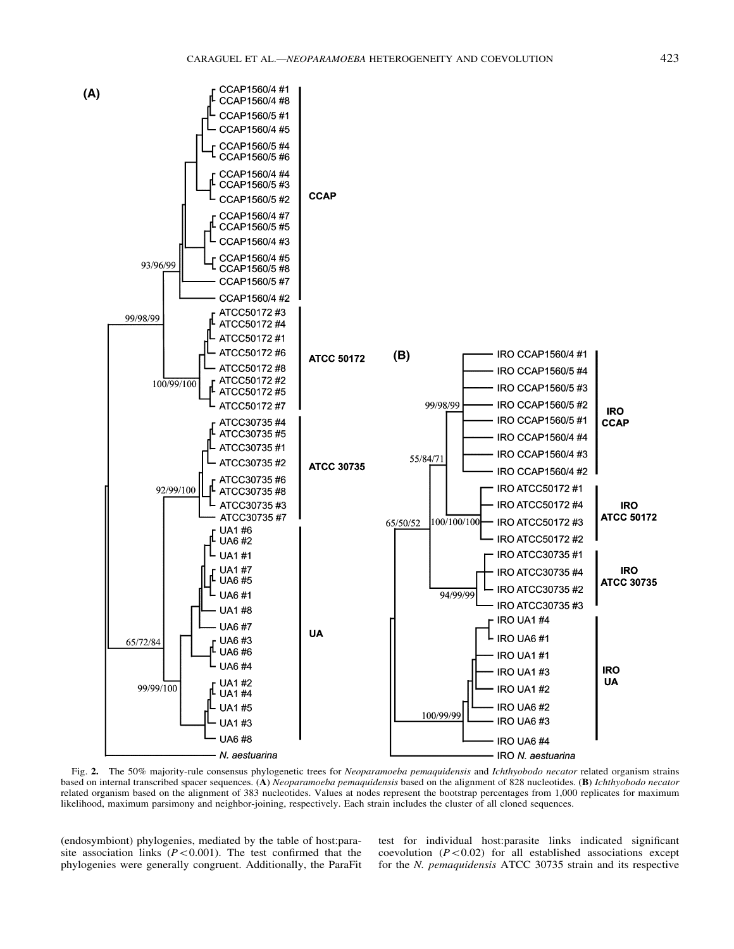

Fig. 2. The 50% majority-rule consensus phylogenetic trees for Neoparamoeba pemaquidensis and Ichthyobodo necator related organism strains based on internal transcribed spacer sequences. (A) Neoparamoeba pemaquidensis based on the alignment of 828 nucleotides. (B) Ichthyobodo necator related organism based on the alignment of 383 nucleotides. Values at nodes represent the bootstrap percentages from 1,000 replicates for maximum likelihood, maximum parsimony and neighbor-joining, respectively. Each strain includes the cluster of all cloned sequences.

(endosymbiont) phylogenies, mediated by the table of host:parasite association links  $(P<0.001)$ . The test confirmed that the phylogenies were generally congruent. Additionally, the ParaFit test for individual host:parasite links indicated significant coevolution  $(P<0.02)$  for all established associations except for the N. pemaquidensis ATCC 30735 strain and its respective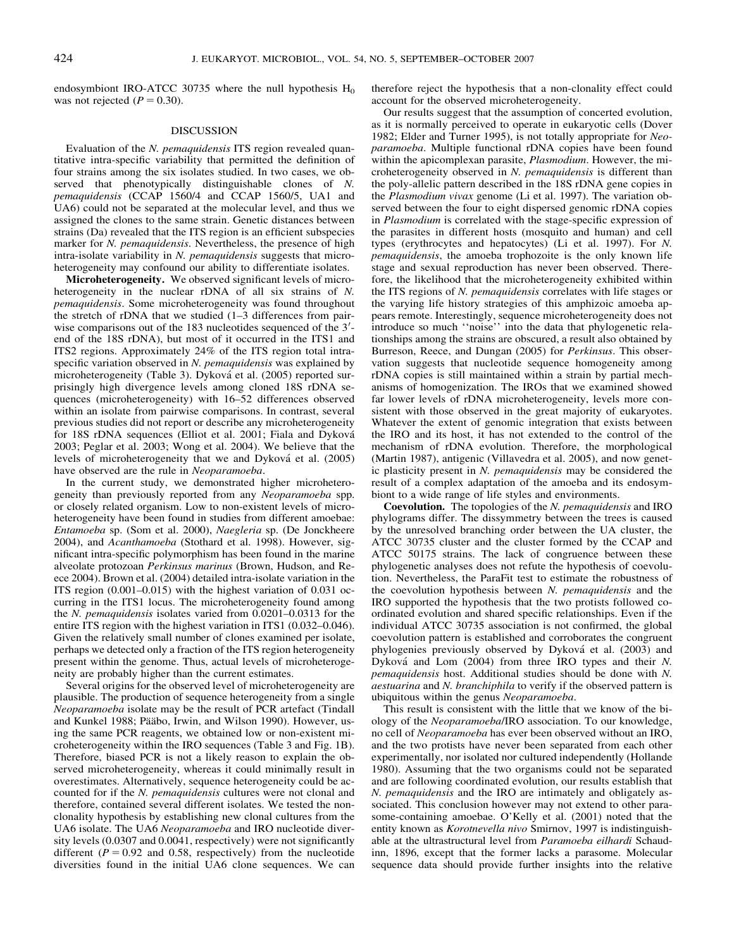endosymbiont IRO-ATCC 30735 where the null hypothesis  $H_0$ was not rejected  $(P = 0.30)$ .

### DISCUSSION

Evaluation of the *N. pemaquidensis* ITS region revealed quantitative intra-specific variability that permitted the definition of four strains among the six isolates studied. In two cases, we observed that phenotypically distinguishable clones of N. pemaquidensis (CCAP 1560/4 and CCAP 1560/5, UA1 and UA6) could not be separated at the molecular level, and thus we assigned the clones to the same strain. Genetic distances between strains (Da) revealed that the ITS region is an efficient subspecies marker for N. pemaquidensis. Nevertheless, the presence of high intra-isolate variability in N. pemaquidensis suggests that microheterogeneity may confound our ability to differentiate isolates.

Microheterogeneity. We observed significant levels of microheterogeneity in the nuclear rDNA of all six strains of N. pemaquidensis. Some microheterogeneity was found throughout the stretch of rDNA that we studied (1–3 differences from pairwise comparisons out of the  $183$  nucleotides sequenced of the  $3'$ end of the 18S rDNA), but most of it occurred in the ITS1 and ITS2 regions. Approximately 24% of the ITS region total intraspecific variation observed in N. pemaquidensis was explained by microheterogeneity (Table 3). Dyková et al. (2005) reported surprisingly high divergence levels among cloned 18S rDNA sequences (microheterogeneity) with 16–52 differences observed within an isolate from pairwise comparisons. In contrast, several previous studies did not report or describe any microheterogeneity for 18S rDNA sequences (Elliot et al. 2001; Fiala and Dyková 2003; Peglar et al. 2003; Wong et al. 2004). We believe that the levels of microheterogeneity that we and Dyková et al. (2005) have observed are the rule in Neoparamoeba.

In the current study, we demonstrated higher microheterogeneity than previously reported from any Neoparamoeba spp. or closely related organism. Low to non-existent levels of microheterogeneity have been found in studies from different amoebae: Entamoeba sp. (Som et al. 2000), Naegleria sp. (De Jonckheere 2004), and Acanthamoeba (Stothard et al. 1998). However, significant intra-specific polymorphism has been found in the marine alveolate protozoan Perkinsus marinus (Brown, Hudson, and Reece 2004). Brown et al. (2004) detailed intra-isolate variation in the ITS region (0.001–0.015) with the highest variation of 0.031 occurring in the ITS1 locus. The microheterogeneity found among the N. pemaquidensis isolates varied from 0.0201–0.0313 for the entire ITS region with the highest variation in ITS1 (0.032–0.046). Given the relatively small number of clones examined per isolate, perhaps we detected only a fraction of the ITS region heterogeneity present within the genome. Thus, actual levels of microheterogeneity are probably higher than the current estimates.

Several origins for the observed level of microheterogeneity are plausible. The production of sequence heterogeneity from a single Neoparamoeba isolate may be the result of PCR artefact (Tindall and Kunkel 1988; Pääbo, Irwin, and Wilson 1990). However, using the same PCR reagents, we obtained low or non-existent microheterogeneity within the IRO sequences (Table 3 and Fig. 1B). Therefore, biased PCR is not a likely reason to explain the observed microheterogeneity, whereas it could minimally result in overestimates. Alternatively, sequence heterogeneity could be accounted for if the N. pemaquidensis cultures were not clonal and therefore, contained several different isolates. We tested the nonclonality hypothesis by establishing new clonal cultures from the UA6 isolate. The UA6 Neoparamoeba and IRO nucleotide diversity levels (0.0307 and 0.0041, respectively) were not significantly different ( $P = 0.92$  and 0.58, respectively) from the nucleotide diversities found in the initial UA6 clone sequences. We can therefore reject the hypothesis that a non-clonality effect could account for the observed microheterogeneity.

Our results suggest that the assumption of concerted evolution, as it is normally perceived to operate in eukaryotic cells (Dover 1982; Elder and Turner 1995), is not totally appropriate for Neoparamoeba. Multiple functional rDNA copies have been found within the apicomplexan parasite, *Plasmodium*. However, the microheterogeneity observed in N. pemaquidensis is different than the poly-allelic pattern described in the 18S rDNA gene copies in the Plasmodium vivax genome (Li et al. 1997). The variation observed between the four to eight dispersed genomic rDNA copies in Plasmodium is correlated with the stage-specific expression of the parasites in different hosts (mosquito and human) and cell types (erythrocytes and hepatocytes) (Li et al. 1997). For N. pemaquidensis, the amoeba trophozoite is the only known life stage and sexual reproduction has never been observed. Therefore, the likelihood that the microheterogeneity exhibited within the ITS regions of N. pemaquidensis correlates with life stages or the varying life history strategies of this amphizoic amoeba appears remote. Interestingly, sequence microheterogeneity does not introduce so much ''noise'' into the data that phylogenetic relationships among the strains are obscured, a result also obtained by Burreson, Reece, and Dungan (2005) for Perkinsus. This observation suggests that nucleotide sequence homogeneity among rDNA copies is still maintained within a strain by partial mechanisms of homogenization. The IROs that we examined showed far lower levels of rDNA microheterogeneity, levels more consistent with those observed in the great majority of eukaryotes. Whatever the extent of genomic integration that exists between the IRO and its host, it has not extended to the control of the mechanism of rDNA evolution. Therefore, the morphological (Martin 1987), antigenic (Villavedra et al. 2005), and now genetic plasticity present in N. pemaquidensis may be considered the result of a complex adaptation of the amoeba and its endosymbiont to a wide range of life styles and environments.

Coevolution. The topologies of the N. pemaquidensis and IRO phylograms differ. The dissymmetry between the trees is caused by the unresolved branching order between the UA cluster, the ATCC 30735 cluster and the cluster formed by the CCAP and ATCC 50175 strains. The lack of congruence between these phylogenetic analyses does not refute the hypothesis of coevolution. Nevertheless, the ParaFit test to estimate the robustness of the coevolution hypothesis between N. pemaquidensis and the IRO supported the hypothesis that the two protists followed coordinated evolution and shared specific relationships. Even if the individual ATCC 30735 association is not confirmed, the global coevolution pattern is established and corroborates the congruent phylogenies previously observed by Dyková et al. (2003) and Dyková and Lom (2004) from three IRO types and their N. pemaquidensis host. Additional studies should be done with N. aestuarina and N. branchiphila to verify if the observed pattern is ubiquitous within the genus Neoparamoeba.

This result is consistent with the little that we know of the biology of the Neoparamoeba/IRO association. To our knowledge, no cell of Neoparamoeba has ever been observed without an IRO, and the two protists have never been separated from each other experimentally, nor isolated nor cultured independently (Hollande 1980). Assuming that the two organisms could not be separated and are following coordinated evolution, our results establish that N. *pemaquidensis* and the IRO are intimately and obligately associated. This conclusion however may not extend to other parasome-containing amoebae. O'Kelly et al. (2001) noted that the entity known as Korotnevella nivo Smirnov, 1997 is indistinguishable at the ultrastructural level from Paramoeba eilhardi Schaudinn, 1896, except that the former lacks a parasome. Molecular sequence data should provide further insights into the relative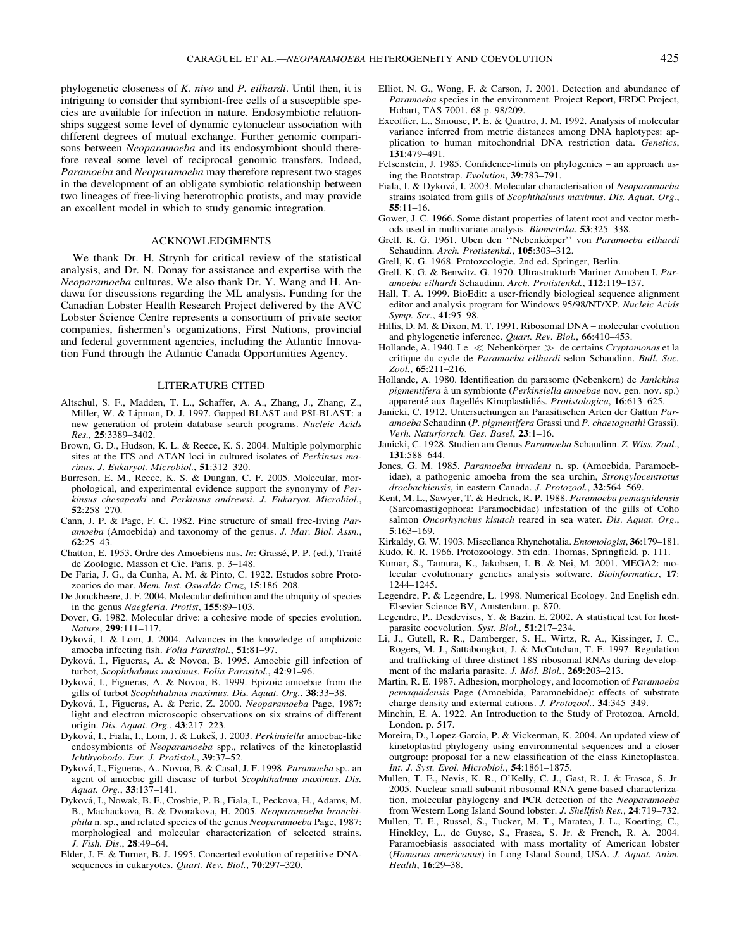phylogenetic closeness of K. nivo and P. eilhardi. Until then, it is intriguing to consider that symbiont-free cells of a susceptible species are available for infection in nature. Endosymbiotic relationships suggest some level of dynamic cytonuclear association with different degrees of mutual exchange. Further genomic comparisons between *Neoparamoeba* and its endosymbiont should therefore reveal some level of reciprocal genomic transfers. Indeed, Paramoeba and Neoparamoeba may therefore represent two stages in the development of an obligate symbiotic relationship between two lineages of free-living heterotrophic protists, and may provide an excellent model in which to study genomic integration.

#### ACKNOWLEDGMENTS

We thank Dr. H. Strynh for critical review of the statistical analysis, and Dr. N. Donay for assistance and expertise with the Neoparamoeba cultures. We also thank Dr. Y. Wang and H. Andawa for discussions regarding the ML analysis. Funding for the Canadian Lobster Health Research Project delivered by the AVC Lobster Science Centre represents a consortium of private sector companies, fishermen's organizations, First Nations, provincial and federal government agencies, including the Atlantic Innovation Fund through the Atlantic Canada Opportunities Agency.

### LITERATURE CITED

- Altschul, S. F., Madden, T. L., Schaffer, A. A., Zhang, J., Zhang, Z., Miller, W. & Lipman, D. J. 1997. Gapped BLAST and PSI-BLAST: a new generation of protein database search programs. Nucleic Acids Res., 25:3389–3402.
- Brown, G. D., Hudson, K. L. & Reece, K. S. 2004. Multiple polymorphic sites at the ITS and ATAN loci in cultured isolates of Perkinsus marinus. J. Eukaryot. Microbiol., 51:312–320.
- Burreson, E. M., Reece, K. S. & Dungan, C. F. 2005. Molecular, morphological, and experimental evidence support the synonymy of Perkinsus chesapeaki and Perkinsus andrewsi. J. Eukaryot. Microbiol., 52:258–270.
- Cann, J. P. & Page, F. C. 1982. Fine structure of small free-living Paramoeba (Amoebida) and taxonomy of the genus. J. Mar. Biol. Assn., 62:25–43.
- Chatton, E. 1953. Ordre des Amoebiens nus. In: Grassé, P. P. (ed.), Traité de Zoologie. Masson et Cie, Paris. p. 3–148.
- De Faria, J. G., da Cunha, A. M. & Pinto, C. 1922. Estudos sobre Protozoarios do mar. Mem. Inst. Oswaldo Cruz, 15:186–208.
- De Jonckheere, J. F. 2004. Molecular definition and the ubiquity of species in the genus Naegleria. Protist, 155:89–103.
- Dover, G. 1982. Molecular drive: a cohesive mode of species evolution. Nature, 299:111–117.
- Dykova´, I. & Lom, J. 2004. Advances in the knowledge of amphizoic amoeba infecting fish. Folia Parasitol., 51:81–97.
- Dykova´, I., Figueras, A. & Novoa, B. 1995. Amoebic gill infection of turbot, Scophthalmus maximus. Folia Parasitol., 42:91–96.
- Dykova´, I., Figueras, A. & Novoa, B. 1999. Epizoic amoebae from the gills of turbot Scophthalmus maximus. Dis. Aquat. Org., 38:33–38.
- Dyková, I., Figueras, A. & Peric, Z. 2000. Neoparamoeba Page, 1987: light and electron microscopic observations on six strains of different origin. Dis. Aquat. Org., 43:217–223.
- Dyková, I., Fiala, I., Lom, J. & Lukeš, J. 2003. Perkinsiella amoebae-like endosymbionts of *Neoparamoeba* spp., relatives of the kinetoplastid Ichthyobodo. Eur. J. Protistol., 39:37–52.
- Dyková, I., Figueras, A., Novoa, B. & Casal, J. F. 1998. Paramoeba sp., an agent of amoebic gill disease of turbot Scophthalmus maximus. Dis. Aquat. Org., 33:137–141.
- Dykova´, I., Nowak, B. F., Crosbie, P. B., Fiala, I., Peckova, H., Adams, M. B., Machackova, B. & Dvorakova, H. 2005. Neoparamoeba branchiphila n. sp., and related species of the genus Neoparamoeba Page, 1987: morphological and molecular characterization of selected strains. J. Fish. Dis., 28:49–64.
- Elder, J. F. & Turner, B. J. 1995. Concerted evolution of repetitive DNAsequences in eukaryotes. Quart. Rev. Biol., 70:297-320.
- Elliot, N. G., Wong, F. & Carson, J. 2001. Detection and abundance of Paramoeba species in the environment. Project Report, FRDC Project, Hobart, TAS 7001. 68 p. 98/209.
- Excoffier, L., Smouse, P. E. & Quattro, J. M. 1992. Analysis of molecular variance inferred from metric distances among DNA haplotypes: application to human mitochondrial DNA restriction data. Genetics, 131:479–491.
- Felsenstein, J. 1985. Confidence-limits on phylogenies an approach using the Bootstrap. Evolution, 39:783–791.
- Fiala, I. & Dyková, I. 2003. Molecular characterisation of Neoparamoeba strains isolated from gills of Scophthalmus maximus. Dis. Aquat. Org., 55:11–16.
- Gower, J. C. 1966. Some distant properties of latent root and vector methods used in multivariate analysis. Biometrika, 53:325–338.
- Grell, K. G. 1961. Uben den "Nebenkörper" von Paramoeba eilhardi Schaudinn. Arch. Protistenkd., 105:303-312.
- Grell, K. G. 1968. Protozoologie. 2nd ed. Springer, Berlin.
- Grell, K. G. & Benwitz, G. 1970. Ultrastrukturb Mariner Amoben I. Paramoeba eilhardi Schaudinn. Arch. Protistenkd., 112:119–137.
- Hall, T. A. 1999. BioEdit: a user-friendly biological sequence alignment editor and analysis program for Windows 95/98/NT/XP. Nucleic Acids Symp. Ser., 41:95–98.
- Hillis, D. M. & Dixon, M. T. 1991. Ribosomal DNA molecular evolution and phylogenetic inference. Quart. Rev. Biol., 66:410–453.
- Hollande, A. 1940. Le  $\ll$  Nebenkörper  $\gg$  de certains Cryptomonas et la critique du cycle de Paramoeba eilhardi selon Schaudinn. Bull. Soc. Zool., 65:211–216.
- Hollande, A. 1980. Identification du parasome (Nebenkern) de Janickina pigmentifera à un symbionte (Perkinsiella amoebae nov. gen. nov. sp.) apparenté aux flagellés Kinoplastidiés. Protistologica, 16:613-625.
- Janicki, C. 1912. Untersuchungen an Parasitischen Arten der Gattun Paramoeba Schaudinn (P. pigmentifera Grassi und P. chaetognathi Grassi). Verh. Naturforsch. Ges. Basel, 23:1–16.
- Janicki, C. 1928. Studien am Genus Paramoeba Schaudinn. Z. Wiss. Zool., 131:588–644.
- Jones, G. M. 1985. Paramoeba invadens n. sp. (Amoebida, Paramoebidae), a pathogenic amoeba from the sea urchin, Strongylocentrotus droebachiensis, in eastern Canada. J. Protozool., 32:564–569.
- Kent, M. L., Sawyer, T. & Hedrick, R. P. 1988. Paramoeba pemaquidensis (Sarcomastigophora: Paramoebidae) infestation of the gills of Coho salmon Oncorhynchus kisutch reared in sea water. Dis. Aquat. Org., 5:163–169.
- Kirkaldy, G. W. 1903. Miscellanea Rhynchotalia. Entomologist, 36:179–181.
- Kudo, R. R. 1966. Protozoology. 5th edn. Thomas, Springfield. p. 111.
- Kumar, S., Tamura, K., Jakobsen, I. B. & Nei, M. 2001. MEGA2: molecular evolutionary genetics analysis software. Bioinformatics, 17: 1244–1245.
- Legendre, P. & Legendre, L. 1998. Numerical Ecology. 2nd English edn. Elsevier Science BV, Amsterdam. p. 870.
- Legendre, P., Desdevises, Y. & Bazin, E. 2002. A statistical test for hostparasite coevolution. Syst. Biol., 51:217–234.
- Li, J., Gutell, R. R., Damberger, S. H., Wirtz, R. A., Kissinger, J. C., Rogers, M. J., Sattabongkot, J. & McCutchan, T. F. 1997. Regulation and trafficking of three distinct 18S ribosomal RNAs during development of the malaria parasite. J. Mol. Biol., 269:203–213.
- Martin, R. E. 1987. Adhesion, morphology, and locomotion of Paramoeba pemaquidensis Page (Amoebida, Paramoebidae): effects of substrate charge density and external cations. J. Protozool., 34:345–349.
- Minchin, E. A. 1922. An Introduction to the Study of Protozoa. Arnold, London. p. 517.
- Moreira, D., Lopez-Garcia, P. & Vickerman, K. 2004. An updated view of kinetoplastid phylogeny using environmental sequences and a closer outgroup: proposal for a new classification of the class Kinetoplastea. Int. J. Syst. Evol. Microbiol., 54:1861–1875.
- Mullen, T. E., Nevis, K. R., O'Kelly, C. J., Gast, R. J. & Frasca, S. Jr. 2005. Nuclear small-subunit ribosomal RNA gene-based characterization, molecular phylogeny and PCR detection of the Neoparamoeba from Western Long Island Sound lobster. J. Shellfish Res., 24:719–732.
- Mullen, T. E., Russel, S., Tucker, M. T., Maratea, J. L., Koerting, C., Hinckley, L., de Guyse, S., Frasca, S. Jr. & French, R. A. 2004. Paramoebiasis associated with mass mortality of American lobster (Homarus americanus) in Long Island Sound, USA. J. Aquat. Anim. Health, 16:29–38.